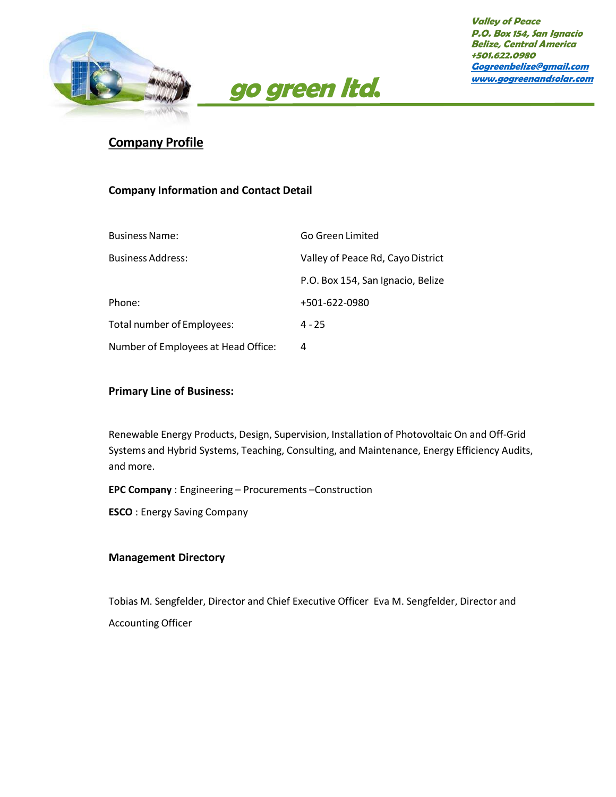



# **Company Profile**

## **Company Information and Contact Detail**

| <b>Business Name:</b>               | Go Green Limited                  |
|-------------------------------------|-----------------------------------|
| <b>Business Address:</b>            | Valley of Peace Rd, Cayo District |
|                                     | P.O. Box 154, San Ignacio, Belize |
| Phone:                              | +501-622-0980                     |
| Total number of Employees:          | $4 - 25$                          |
| Number of Employees at Head Office: | 4                                 |

### **Primary Line of Business:**

Renewable Energy Products, Design, Supervision, Installation of Photovoltaic On and Off-Grid Systems and Hybrid Systems, Teaching, Consulting, and Maintenance, Energy Efficiency Audits, and more.

**EPC Company** : Engineering – Procurements –Construction

**ESCO** : Energy Saving Company

#### **Management Directory**

Tobias M. Sengfelder, Director and Chief Executive Officer Eva M. Sengfelder, Director and Accounting Officer